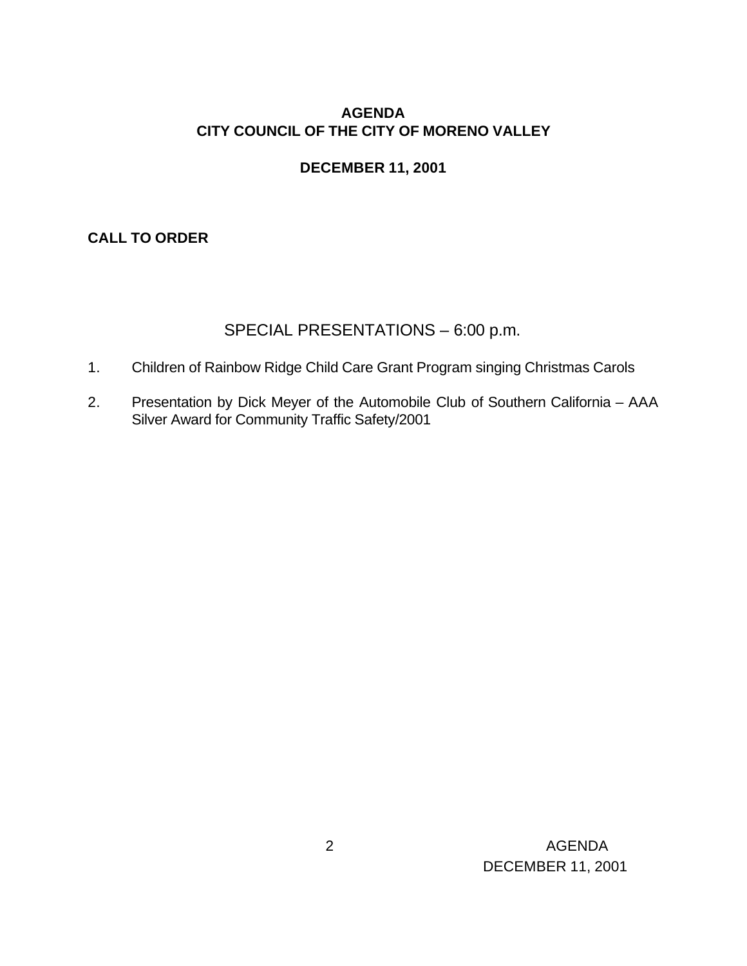# **AGENDA CITY COUNCIL OF THE CITY OF MORENO VALLEY**

# **DECEMBER 11, 2001**

# **CALL TO ORDER**

# SPECIAL PRESENTATIONS – 6:00 p.m.

- 1. Children of Rainbow Ridge Child Care Grant Program singing Christmas Carols
- 2. Presentation by Dick Meyer of the Automobile Club of Southern California AAA Silver Award for Community Traffic Safety/2001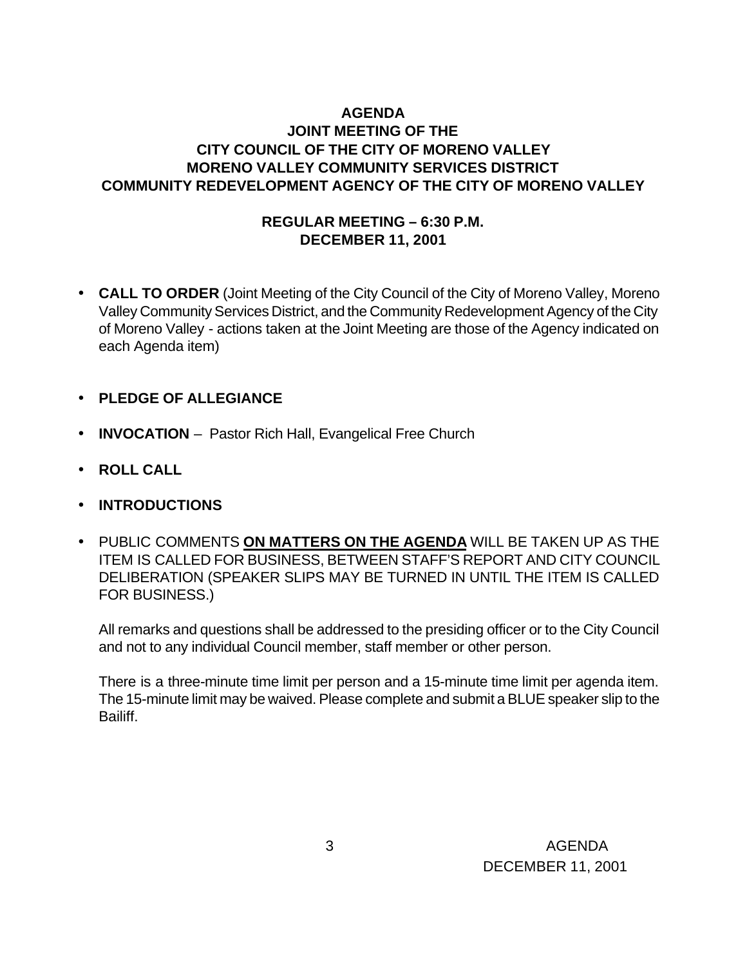## **AGENDA JOINT MEETING OF THE CITY COUNCIL OF THE CITY OF MORENO VALLEY MORENO VALLEY COMMUNITY SERVICES DISTRICT COMMUNITY REDEVELOPMENT AGENCY OF THE CITY OF MORENO VALLEY**

### **REGULAR MEETING – 6:30 P.M. DECEMBER 11, 2001**

- **CALL TO ORDER** (Joint Meeting of the City Council of the City of Moreno Valley, Moreno Valley Community Services District, and the Community Redevelopment Agency of the City of Moreno Valley - actions taken at the Joint Meeting are those of the Agency indicated on each Agenda item)
- **PLEDGE OF ALLEGIANCE**
- **INVOCATION** Pastor Rich Hall, Evangelical Free Church
- **ROLL CALL**
- **INTRODUCTIONS**
- PUBLIC COMMENTS **ON MATTERS ON THE AGENDA** WILL BE TAKEN UP AS THE ITEM IS CALLED FOR BUSINESS, BETWEEN STAFF'S REPORT AND CITY COUNCIL DELIBERATION (SPEAKER SLIPS MAY BE TURNED IN UNTIL THE ITEM IS CALLED FOR BUSINESS.)

All remarks and questions shall be addressed to the presiding officer or to the City Council and not to any individual Council member, staff member or other person.

There is a three-minute time limit per person and a 15-minute time limit per agenda item. The 15-minute limit may be waived. Please complete and submit a BLUE speaker slip to the Bailiff.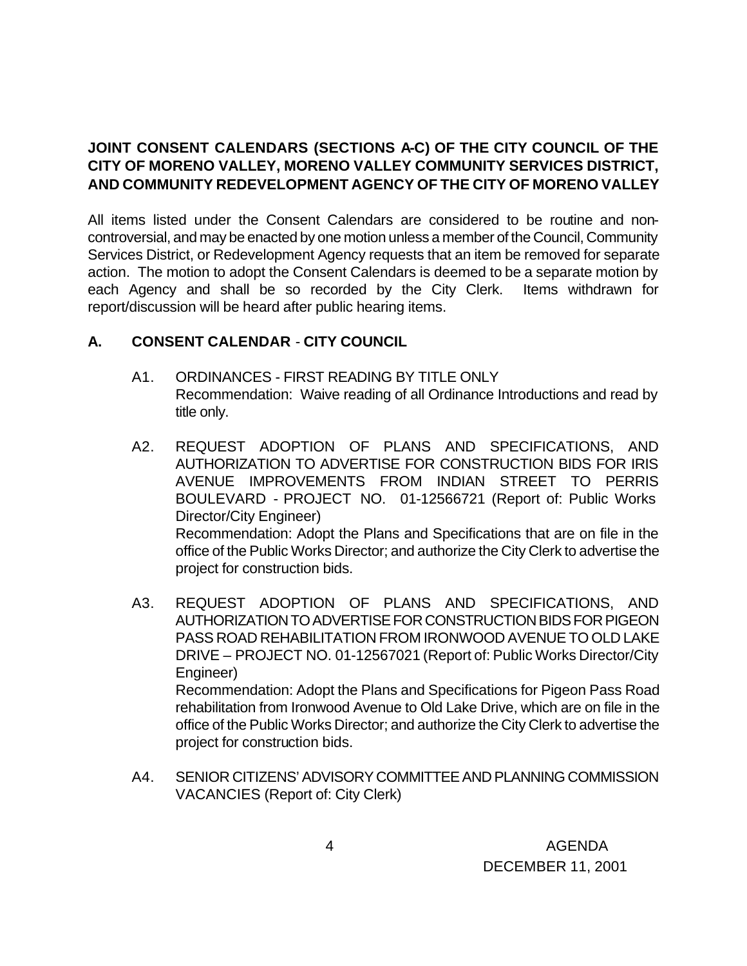# **JOINT CONSENT CALENDARS (SECTIONS A-C) OF THE CITY COUNCIL OF THE CITY OF MORENO VALLEY, MORENO VALLEY COMMUNITY SERVICES DISTRICT, AND COMMUNITY REDEVELOPMENT AGENCY OF THE CITY OF MORENO VALLEY**

All items listed under the Consent Calendars are considered to be routine and noncontroversial, and may be enacted by one motion unless a member of the Council, Community Services District, or Redevelopment Agency requests that an item be removed for separate action. The motion to adopt the Consent Calendars is deemed to be a separate motion by each Agency and shall be so recorded by the City Clerk. Items withdrawn for report/discussion will be heard after public hearing items.

# **A. CONSENT CALENDAR** - **CITY COUNCIL**

- A1. ORDINANCES FIRST READING BY TITLE ONLY Recommendation: Waive reading of all Ordinance Introductions and read by title only.
- A2. REQUEST ADOPTION OF PLANS AND SPECIFICATIONS, AND AUTHORIZATION TO ADVERTISE FOR CONSTRUCTION BIDS FOR IRIS AVENUE IMPROVEMENTS FROM INDIAN STREET TO PERRIS BOULEVARD - PROJECT NO. 01-12566721 (Report of: Public Works Director/City Engineer) Recommendation: Adopt the Plans and Specifications that are on file in the office of the Public Works Director; and authorize the City Clerk to advertise the project for construction bids.
- A3. REQUEST ADOPTION OF PLANS AND SPECIFICATIONS, AND AUTHORIZATION TO ADVERTISE FOR CONSTRUCTION BIDS FOR PIGEON PASS ROAD REHABILITATION FROM IRONWOOD AVENUE TO OLD LAKE DRIVE – PROJECT NO. 01-12567021 (Report of: Public Works Director/City Engineer) Recommendation: Adopt the Plans and Specifications for Pigeon Pass Road rehabilitation from Ironwood Avenue to Old Lake Drive, which are on file in the office of the Public Works Director; and authorize the City Clerk to advertise the project for construction bids.
- A4. SENIOR CITIZENS' ADVISORY COMMITTEE AND PLANNING COMMISSION VACANCIES (Report of: City Clerk)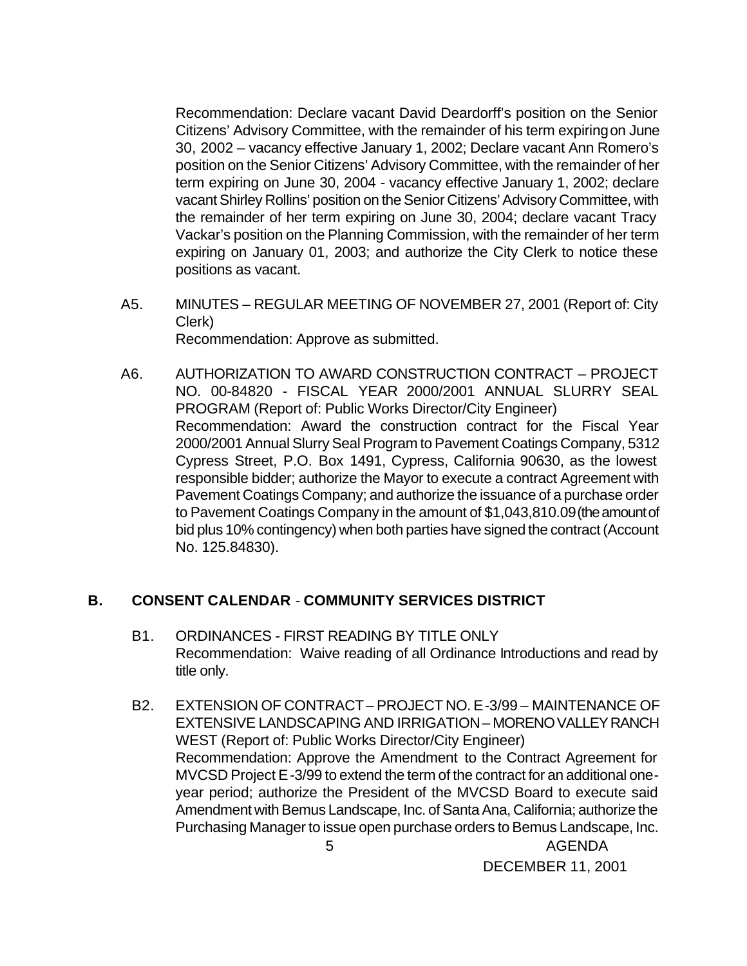Recommendation: Declare vacant David Deardorff's position on the Senior Citizens' Advisory Committee, with the remainder of his term expiring on June 30, 2002 – vacancy effective January 1, 2002; Declare vacant Ann Romero's position on the Senior Citizens' Advisory Committee, with the remainder of her term expiring on June 30, 2004 - vacancy effective January 1, 2002; declare vacant Shirley Rollins' position on the Senior Citizens' Advisory Committee, with the remainder of her term expiring on June 30, 2004; declare vacant Tracy Vackar's position on the Planning Commission, with the remainder of her term expiring on January 01, 2003; and authorize the City Clerk to notice these positions as vacant.

- A5. MINUTES REGULAR MEETING OF NOVEMBER 27, 2001 (Report of: City Clerk) Recommendation: Approve as submitted.
- A6. AUTHORIZATION TO AWARD CONSTRUCTION CONTRACT PROJECT NO. 00-84820 - FISCAL YEAR 2000/2001 ANNUAL SLURRY SEAL PROGRAM (Report of: Public Works Director/City Engineer) Recommendation: Award the construction contract for the Fiscal Year 2000/2001 Annual Slurry Seal Program to Pavement Coatings Company, 5312 Cypress Street, P.O. Box 1491, Cypress, California 90630, as the lowest responsible bidder; authorize the Mayor to execute a contract Agreement with Pavement Coatings Company; and authorize the issuance of a purchase order to Pavement Coatings Company in the amount of \$1,043,810.09 (the amount of bid plus 10% contingency) when both parties have signed the contract (Account No. 125.84830).

### **B. CONSENT CALENDAR** - **COMMUNITY SERVICES DISTRICT**

- B1. ORDINANCES FIRST READING BY TITLE ONLY Recommendation: Waive reading of all Ordinance Introductions and read by title only.
- 5 AGENDA B2. EXTENSION OF CONTRACT – PROJECT NO. E-3/99 – MAINTENANCE OF EXTENSIVE LANDSCAPING AND IRRIGATION – MORENO VALLEY RANCH WEST (Report of: Public Works Director/City Engineer) Recommendation: Approve the Amendment to the Contract Agreement for MVCSD Project E-3/99 to extend the term of the contract for an additional oneyear period; authorize the President of the MVCSD Board to execute said Amendment with Bemus Landscape, Inc. of Santa Ana, California; authorize the Purchasing Manager to issue open purchase orders to Bemus Landscape, Inc.

DECEMBER 11, 2001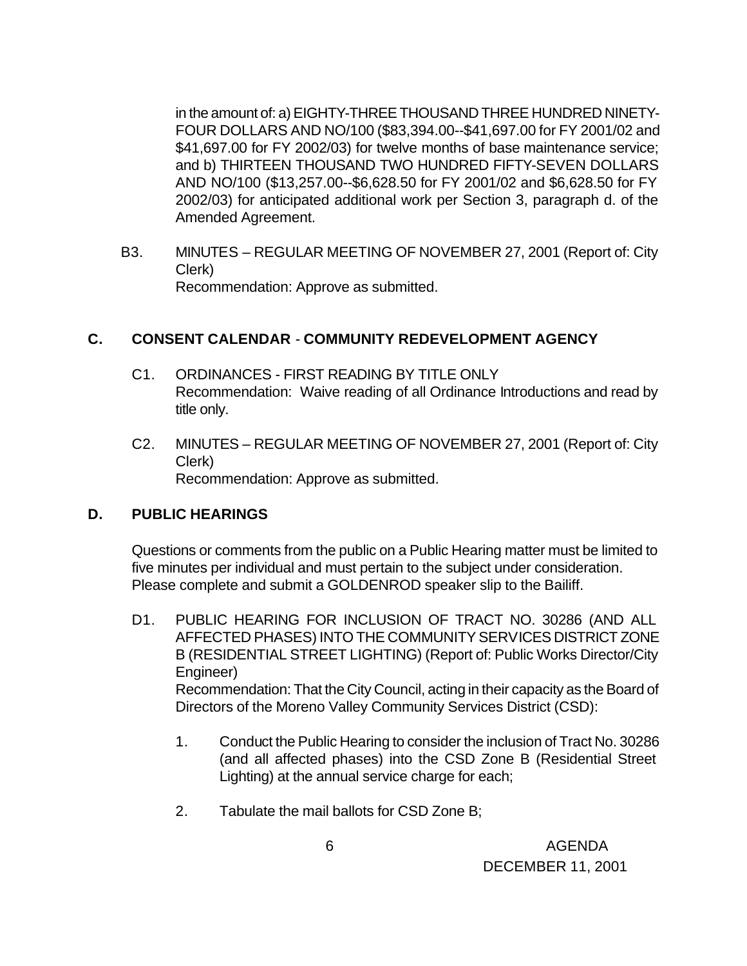in the amount of: a) EIGHTY-THREE THOUSAND THREE HUNDRED NINETY-FOUR DOLLARS AND NO/100 (\$83,394.00--\$41,697.00 for FY 2001/02 and \$41,697.00 for FY 2002/03) for twelve months of base maintenance service; and b) THIRTEEN THOUSAND TWO HUNDRED FIFTY-SEVEN DOLLARS AND NO/100 (\$13,257.00--\$6,628.50 for FY 2001/02 and \$6,628.50 for FY 2002/03) for anticipated additional work per Section 3, paragraph d. of the Amended Agreement.

B3. MINUTES – REGULAR MEETING OF NOVEMBER 27, 2001 (Report of: City Clerk) Recommendation: Approve as submitted.

### **C. CONSENT CALENDAR** - **COMMUNITY REDEVELOPMENT AGENCY**

- C1. ORDINANCES FIRST READING BY TITLE ONLY Recommendation: Waive reading of all Ordinance Introductions and read by title only.
- C2. MINUTES REGULAR MEETING OF NOVEMBER 27, 2001 (Report of: City Clerk) Recommendation: Approve as submitted.

### **D. PUBLIC HEARINGS**

Questions or comments from the public on a Public Hearing matter must be limited to five minutes per individual and must pertain to the subject under consideration. Please complete and submit a GOLDENROD speaker slip to the Bailiff.

- D1. PUBLIC HEARING FOR INCLUSION OF TRACT NO. 30286 (AND ALL AFFECTED PHASES) INTO THE COMMUNITY SERVICES DISTRICT ZONE B (RESIDENTIAL STREET LIGHTING) (Report of: Public Works Director/City Engineer) Recommendation: That the City Council, acting in their capacity as the Board of Directors of the Moreno Valley Community Services District (CSD):
	- 1. Conduct the Public Hearing to consider the inclusion of Tract No. 30286 (and all affected phases) into the CSD Zone B (Residential Street Lighting) at the annual service charge for each;
	- 2. Tabulate the mail ballots for CSD Zone B;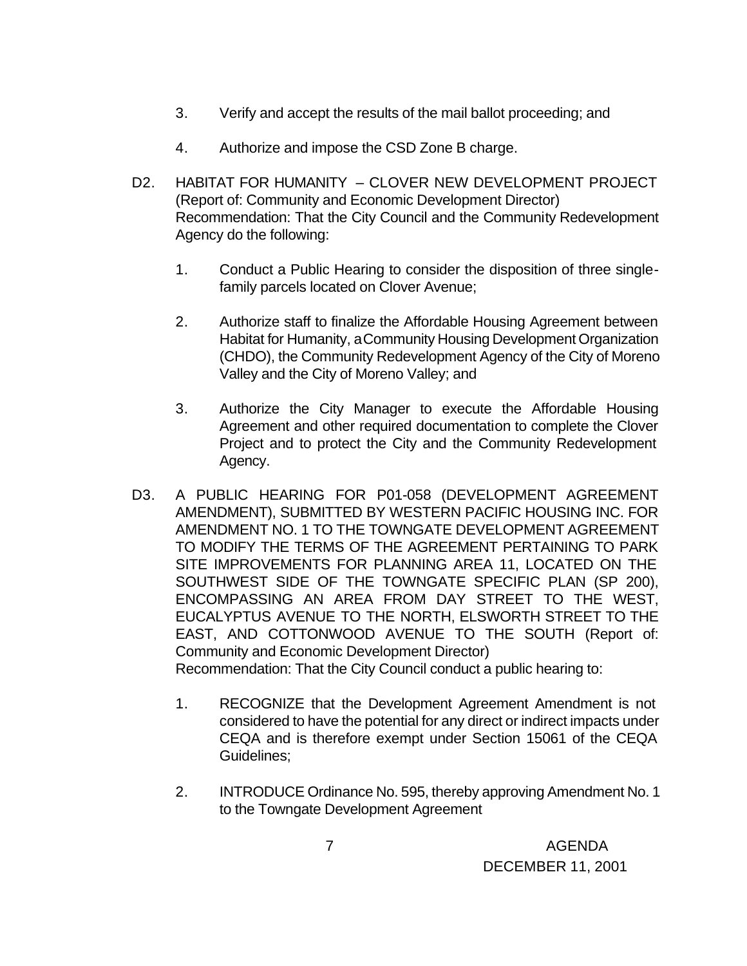- 3. Verify and accept the results of the mail ballot proceeding; and
- 4. Authorize and impose the CSD Zone B charge.
- D2. HABITAT FOR HUMANITY CLOVER NEW DEVELOPMENT PROJECT (Report of: Community and Economic Development Director) Recommendation: That the City Council and the Community Redevelopment Agency do the following:
	- 1. Conduct a Public Hearing to consider the disposition of three singlefamily parcels located on Clover Avenue;
	- 2. Authorize staff to finalize the Affordable Housing Agreement between Habitat for Humanity, a Community Housing Development Organization (CHDO), the Community Redevelopment Agency of the City of Moreno Valley and the City of Moreno Valley; and
	- 3. Authorize the City Manager to execute the Affordable Housing Agreement and other required documentation to complete the Clover Project and to protect the City and the Community Redevelopment Agency.
- D3. A PUBLIC HEARING FOR P01-058 (DEVELOPMENT AGREEMENT AMENDMENT), SUBMITTED BY WESTERN PACIFIC HOUSING INC. FOR AMENDMENT NO. 1 TO THE TOWNGATE DEVELOPMENT AGREEMENT TO MODIFY THE TERMS OF THE AGREEMENT PERTAINING TO PARK SITE IMPROVEMENTS FOR PLANNING AREA 11, LOCATED ON THE SOUTHWEST SIDE OF THE TOWNGATE SPECIFIC PLAN (SP 200), ENCOMPASSING AN AREA FROM DAY STREET TO THE WEST, EUCALYPTUS AVENUE TO THE NORTH, ELSWORTH STREET TO THE EAST, AND COTTONWOOD AVENUE TO THE SOUTH (Report of: Community and Economic Development Director) Recommendation: That the City Council conduct a public hearing to:
	- 1. RECOGNIZE that the Development Agreement Amendment is not considered to have the potential for any direct or indirect impacts under CEQA and is therefore exempt under Section 15061 of the CEQA Guidelines;
	- 2. INTRODUCE Ordinance No. 595, thereby approving Amendment No. 1 to the Towngate Development Agreement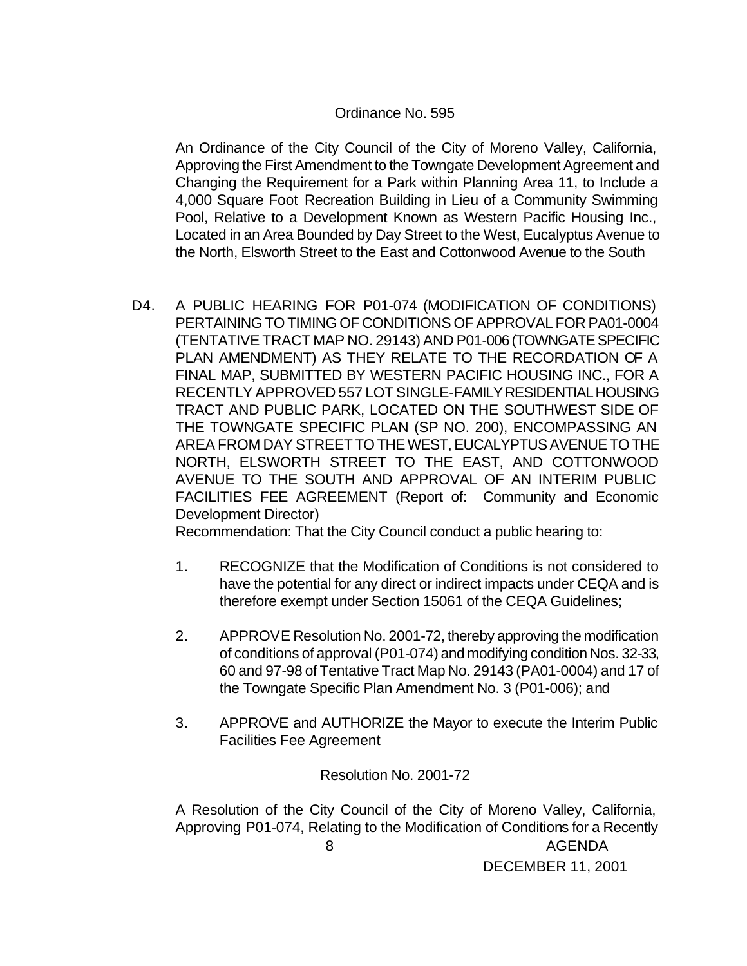### Ordinance No. 595

An Ordinance of the City Council of the City of Moreno Valley, California, Approving the First Amendment to the Towngate Development Agreement and Changing the Requirement for a Park within Planning Area 11, to Include a 4,000 Square Foot Recreation Building in Lieu of a Community Swimming Pool, Relative to a Development Known as Western Pacific Housing Inc., Located in an Area Bounded by Day Street to the West, Eucalyptus Avenue to the North, Elsworth Street to the East and Cottonwood Avenue to the South

D4. A PUBLIC HEARING FOR P01-074 (MODIFICATION OF CONDITIONS) PERTAINING TO TIMING OF CONDITIONS OF APPROVAL FOR PA01-0004 (TENTATIVE TRACT MAP NO. 29143) AND P01-006 (TOWNGATE SPECIFIC PLAN AMENDMENT) AS THEY RELATE TO THE RECORDATION OF A FINAL MAP, SUBMITTED BY WESTERN PACIFIC HOUSING INC., FOR A RECENTLY APPROVED 557 LOT SINGLE-FAMILY RESIDENTIAL HOUSING TRACT AND PUBLIC PARK, LOCATED ON THE SOUTHWEST SIDE OF THE TOWNGATE SPECIFIC PLAN (SP NO. 200), ENCOMPASSING AN AREA FROM DAY STREET TO THE WEST, EUCALYPTUS AVENUE TO THE NORTH, ELSWORTH STREET TO THE EAST, AND COTTONWOOD AVENUE TO THE SOUTH AND APPROVAL OF AN INTERIM PUBLIC FACILITIES FEE AGREEMENT (Report of: Community and Economic Development Director)

Recommendation: That the City Council conduct a public hearing to:

- 1. RECOGNIZE that the Modification of Conditions is not considered to have the potential for any direct or indirect impacts under CEQA and is therefore exempt under Section 15061 of the CEQA Guidelines;
- 2. APPROVE Resolution No. 2001-72, thereby approving the modification of conditions of approval (P01-074) and modifying condition Nos. 32-33, 60 and 97-98 of Tentative Tract Map No. 29143 (PA01-0004) and 17 of the Towngate Specific Plan Amendment No. 3 (P01-006); and
- 3. APPROVE and AUTHORIZE the Mayor to execute the Interim Public Facilities Fee Agreement

Resolution No. 2001-72

 8 AGENDA DECEMBER 11, 2001 A Resolution of the City Council of the City of Moreno Valley, California, Approving P01-074, Relating to the Modification of Conditions for a Recently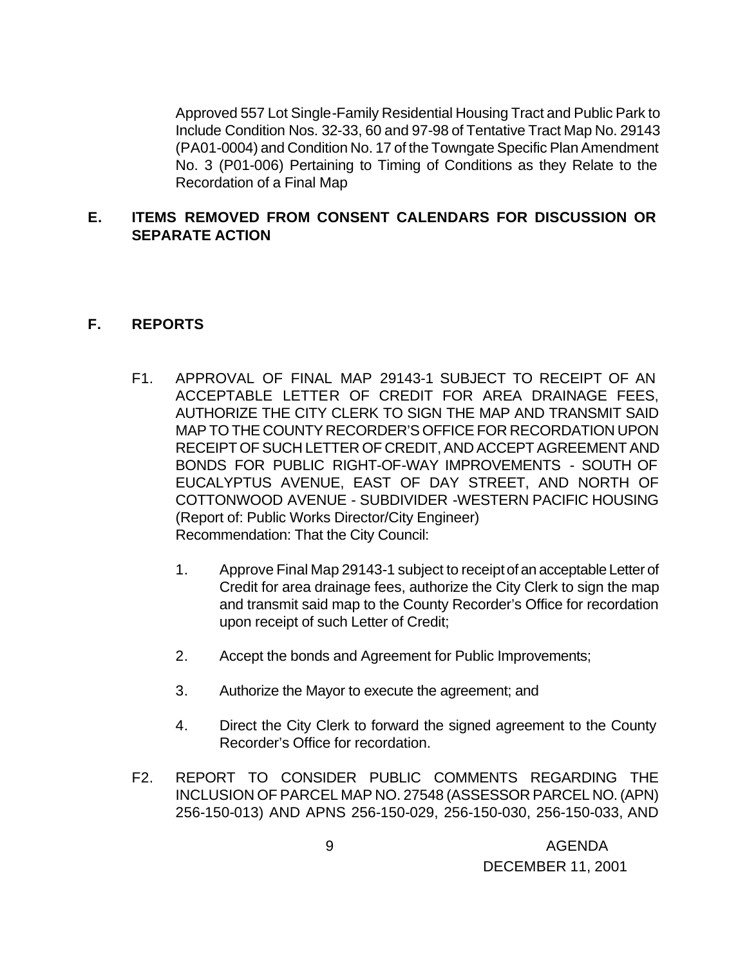Approved 557 Lot Single-Family Residential Housing Tract and Public Park to Include Condition Nos. 32-33, 60 and 97-98 of Tentative Tract Map No. 29143 (PA01-0004) and Condition No. 17 of the Towngate Specific Plan Amendment No. 3 (P01-006) Pertaining to Timing of Conditions as they Relate to the Recordation of a Final Map

### **E. ITEMS REMOVED FROM CONSENT CALENDARS FOR DISCUSSION OR SEPARATE ACTION**

## **F. REPORTS**

- F1. APPROVAL OF FINAL MAP 29143-1 SUBJECT TO RECEIPT OF AN ACCEPTABLE LETTER OF CREDIT FOR AREA DRAINAGE FEES, AUTHORIZE THE CITY CLERK TO SIGN THE MAP AND TRANSMIT SAID MAP TO THE COUNTY RECORDER'S OFFICE FOR RECORDATION UPON RECEIPT OF SUCH LETTER OF CREDIT, AND ACCEPT AGREEMENT AND BONDS FOR PUBLIC RIGHT-OF-WAY IMPROVEMENTS - SOUTH OF EUCALYPTUS AVENUE, EAST OF DAY STREET, AND NORTH OF COTTONWOOD AVENUE - SUBDIVIDER -WESTERN PACIFIC HOUSING (Report of: Public Works Director/City Engineer) Recommendation: That the City Council:
	- 1. Approve Final Map 29143-1 subject to receipt of an acceptable Letter of Credit for area drainage fees, authorize the City Clerk to sign the map and transmit said map to the County Recorder's Office for recordation upon receipt of such Letter of Credit;
	- 2. Accept the bonds and Agreement for Public Improvements;
	- 3. Authorize the Mayor to execute the agreement; and
	- 4. Direct the City Clerk to forward the signed agreement to the County Recorder's Office for recordation.
- F2. REPORT TO CONSIDER PUBLIC COMMENTS REGARDING THE INCLUSION OF PARCEL MAP NO. 27548 (ASSESSOR PARCEL NO. (APN) 256-150-013) AND APNS 256-150-029, 256-150-030, 256-150-033, AND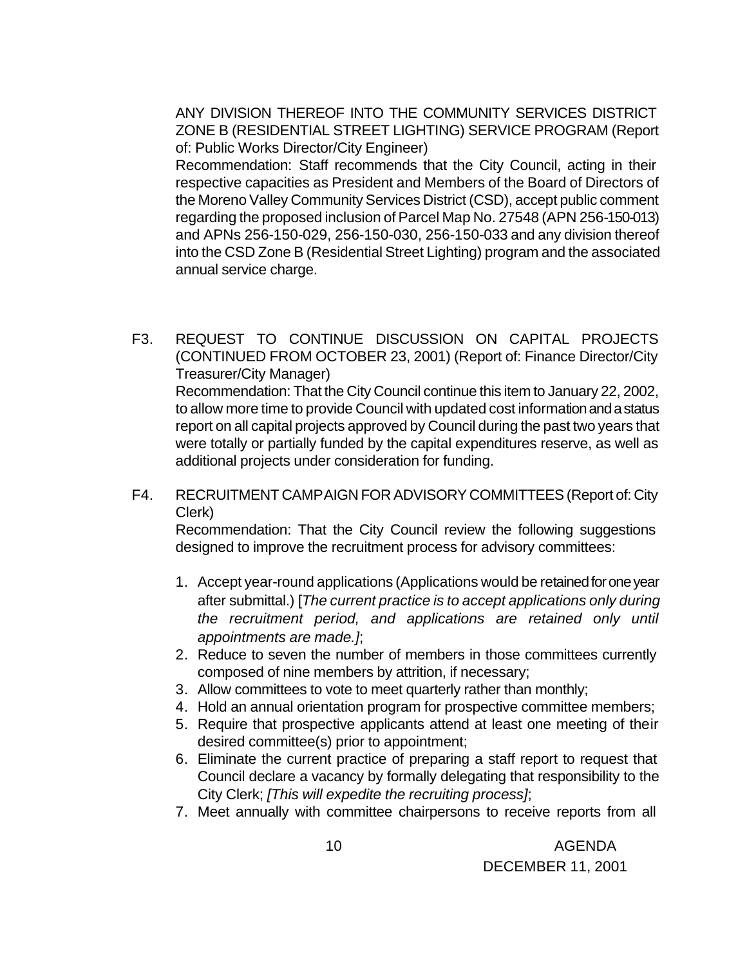ANY DIVISION THEREOF INTO THE COMMUNITY SERVICES DISTRICT ZONE B (RESIDENTIAL STREET LIGHTING) SERVICE PROGRAM (Report of: Public Works Director/City Engineer)

Recommendation: Staff recommends that the City Council, acting in their respective capacities as President and Members of the Board of Directors of the Moreno Valley Community Services District (CSD), accept public comment regarding the proposed inclusion of Parcel Map No. 27548 (APN 256-150-013) and APNs 256-150-029, 256-150-030, 256-150-033 and any division thereof into the CSD Zone B (Residential Street Lighting) program and the associated annual service charge.

- F3. REQUEST TO CONTINUE DISCUSSION ON CAPITAL PROJECTS (CONTINUED FROM OCTOBER 23, 2001) (Report of: Finance Director/City Treasurer/City Manager) Recommendation: That the City Council continue this item to January 22, 2002, to allow more time to provide Council with updated cost information and a status report on all capital projects approved by Council during the past two years that were totally or partially funded by the capital expenditures reserve, as well as additional projects under consideration for funding.
- F4. RECRUITMENT CAMPAIGN FOR ADVISORY COMMITTEES (Report of: City Clerk)

Recommendation: That the City Council review the following suggestions designed to improve the recruitment process for advisory committees:

- 1. Accept year-round applications (Applications would be retained for one year after submittal.) [*The current practice is to accept applications only during the recruitment period, and applications are retained only until appointments are made.]*;
- 2. Reduce to seven the number of members in those committees currently composed of nine members by attrition, if necessary;
- 3. Allow committees to vote to meet quarterly rather than monthly;
- 4. Hold an annual orientation program for prospective committee members;
- 5. Require that prospective applicants attend at least one meeting of their desired committee(s) prior to appointment;
- 6. Eliminate the current practice of preparing a staff report to request that Council declare a vacancy by formally delegating that responsibility to the City Clerk; *[This will expedite the recruiting process]*;
- 7. Meet annually with committee chairpersons to receive reports from all

 10 AGENDA DECEMBER 11, 2001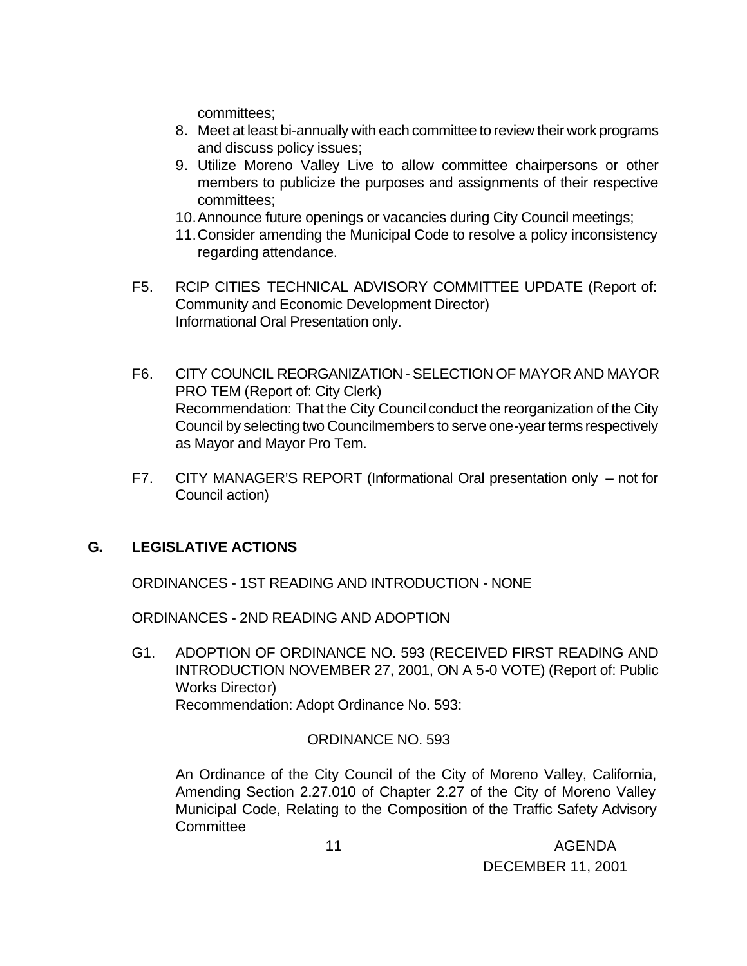committees;

- 8. Meet at least bi-annually with each committee to review their work programs and discuss policy issues;
- 9. Utilize Moreno Valley Live to allow committee chairpersons or other members to publicize the purposes and assignments of their respective committees;
- 10.Announce future openings or vacancies during City Council meetings;
- 11.Consider amending the Municipal Code to resolve a policy inconsistency regarding attendance.
- F5. RCIP CITIES TECHNICAL ADVISORY COMMITTEE UPDATE (Report of: Community and Economic Development Director) Informational Oral Presentation only.
- F6. CITY COUNCIL REORGANIZATION SELECTION OF MAYOR AND MAYOR PRO TEM (Report of: City Clerk) Recommendation: That the City Council conduct the reorganization of the City Council by selecting two Councilmembers to serve one-year terms respectively as Mayor and Mayor Pro Tem.
- F7. CITY MANAGER'S REPORT (Informational Oral presentation only not for Council action)

# **G. LEGISLATIVE ACTIONS**

ORDINANCES - 1ST READING AND INTRODUCTION - NONE

ORDINANCES - 2ND READING AND ADOPTION

G1. ADOPTION OF ORDINANCE NO. 593 (RECEIVED FIRST READING AND INTRODUCTION NOVEMBER 27, 2001, ON A 5-0 VOTE) (Report of: Public Works Director) Recommendation: Adopt Ordinance No. 593:

### ORDINANCE NO. 593

An Ordinance of the City Council of the City of Moreno Valley, California, Amending Section 2.27.010 of Chapter 2.27 of the City of Moreno Valley Municipal Code, Relating to the Composition of the Traffic Safety Advisory **Committee** 

 11 AGENDA DECEMBER 11, 2001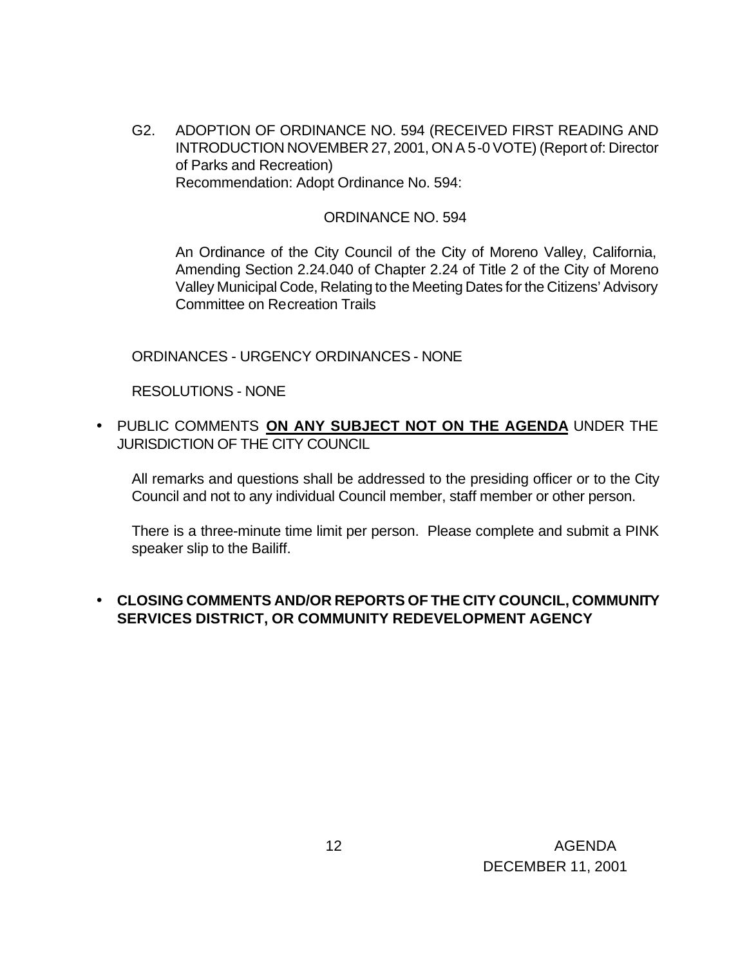G2. ADOPTION OF ORDINANCE NO. 594 (RECEIVED FIRST READING AND INTRODUCTION NOVEMBER 27, 2001, ON A 5-0 VOTE) (Report of: Director of Parks and Recreation) Recommendation: Adopt Ordinance No. 594:

#### ORDINANCE NO. 594

An Ordinance of the City Council of the City of Moreno Valley, California, Amending Section 2.24.040 of Chapter 2.24 of Title 2 of the City of Moreno Valley Municipal Code, Relating to the Meeting Dates for the Citizens' Advisory Committee on Recreation Trails

ORDINANCES - URGENCY ORDINANCES - NONE

RESOLUTIONS - NONE

• PUBLIC COMMENTS **ON ANY SUBJECT NOT ON THE AGENDA** UNDER THE JURISDICTION OF THE CITY COUNCIL

All remarks and questions shall be addressed to the presiding officer or to the City Council and not to any individual Council member, staff member or other person.

There is a three-minute time limit per person. Please complete and submit a PINK speaker slip to the Bailiff.

## • **CLOSING COMMENTS AND/OR REPORTS OF THE CITY COUNCIL, COMMUNITY SERVICES DISTRICT, OR COMMUNITY REDEVELOPMENT AGENCY**